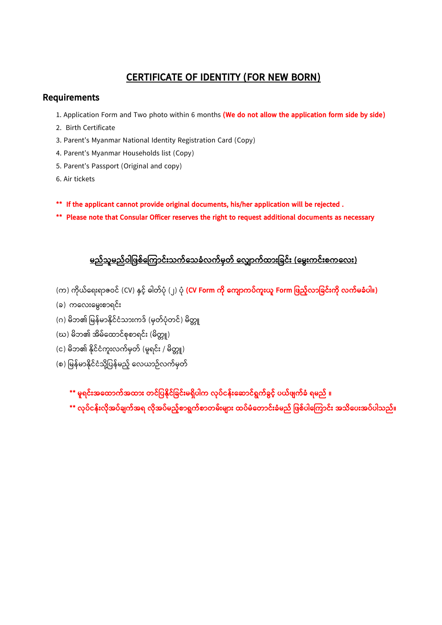## **CERTIFICATE OF IDENTITY (FOR NEW BORN)**

## **Requirements**

- 1. Application Form and Two photo within 6 months **(We do not allow the application form side by side)**
- 2. Birth Certificate
- 3. Parent's Myanmar National Identity Registration Card (Copy)
- 4. Parent's Myanmar Households list (Copy)
- 5. Parent's Passport (Original and copy)
- 6. Air tickets
- **\*\* If the applicant cannot provide original documents, his/her application will be rejected .**
- **\*\* Please note that Consular Officer reserves the right to request additional documents as necessary**

## <u>မည်သူမည်ဝါဖြစ်ကြောင်းသက်သေခံလက်မှတ် လျောက်ထားခြင်း (မွေးကင်းစကလေး)</u>

- (က) ကိုယ်ရေးရာဇဝင် (CV) နှင့်် ဓါတ်ပုံ (၂) ပုံ **(CV Form ကို ကျောကပ်ကူးယူ Form ဖြည့်လာခြင်းကို လက်မခံပါ။)**
- (ခ) ကရလ်းရမွ်းစာရင််း
- (ဂ) မိဘ၏ မြန်မာနိုင်ငံသားကဒ် (မှတ်ပုံတင်) မိတ္တူ
- (ဃ) မိဘ၏ အိမ်ထောင်စုစာရင်း (မိတ္တူ)
- (င) မိဘ၏ နိုင်ငံကူးလက်မှတ် (မူရင်း / မိတ္တူ)
- (စ) မြန်မာနိုင်ငံသို့ပြန်မည် လေယာဉ်လက်မှတ်
	- **\*\* မူရင််းအကထြောက်အထြော်း တင်ဖ န ိုင်ဖခင််းမရှ ါက လို ်ငန််းက ြောင်ရွက်ခွင် ယ်ြ က်ခံ ရမည် ။**
	- **\*\* လို ်ငန််းလ ိုအ ်ခ က်အရ လ ိုအ ်မည် စြောရွက်စြောတမ််းမ ြော်း ထ ်မံကတြောင််းခံမည် ဖြစ် ါက ကြောင််း အသ က ်းအ ် ါသည်။**